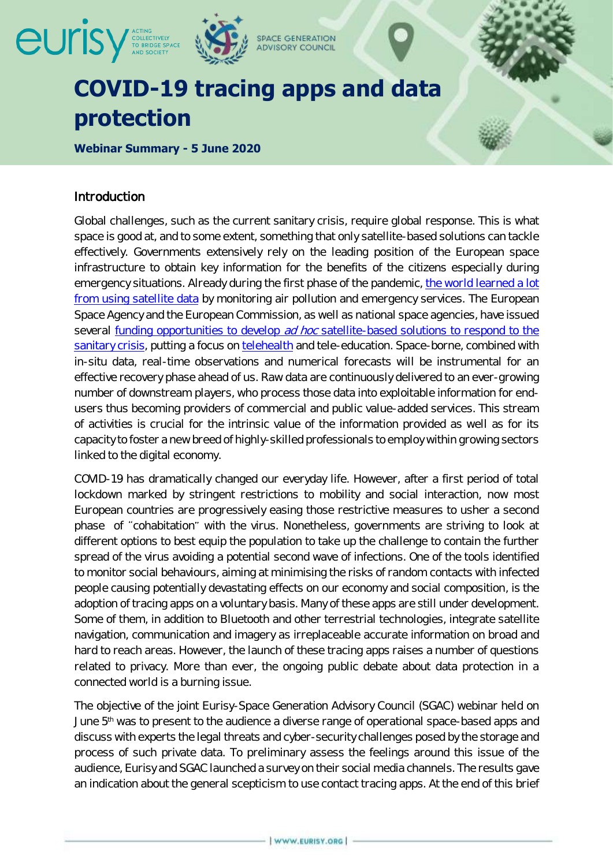

# **protection**

**Webinar Summary - 5 June 2020**

### Introduction

Global challenges, such as the current sanitary crisis, require global response. This is what space is good at, and to some extent, something that only satellite-based solutions can tackle effectively. Governments extensively rely on the leading position of the European space infrastructure to obtain key information for the benefits of the citizens especially during emergency situations. Already during the first phase of the pandemic, [the world learned a lot](https://www.eurisy.org/article-what-we-can-learn-from-the-corona-crisis-with-satellite-data_46)  [from using satellite data](https://www.eurisy.org/article-what-we-can-learn-from-the-corona-crisis-with-satellite-data_46) by monitoring air pollution and emergency services. The European Space Agency and the European Commission, as well as national space agencies, have issued several funding opportunities to develop ad hoc satellite-based solutions to respond to the [sanitary crisis,](https://www.eurisy.org/article-call-for-space-assets-in-response-to-covid19_47) putting a focus on [telehealth](https://www.eurisy.org/article-the-strengthening-of-the-health-sector-after-the-covid19-outbreak_48) and tele-education. Space-borne, combined with in-situ data, real-time observations and numerical forecasts will be instrumental for an effective recovery phase ahead of us. Raw data are continuously delivered to an ever-growing number of downstream players, who process those data into exploitable information for endusers thus becoming providers of commercial and public value-added services. This stream of activities is crucial for the intrinsic value of the information provided as well as for its capacity to foster a new breed of highly-skilled professionals to employ within growing sectors linked to the digital economy.

COVID-19 has dramatically changed our everyday life. However, after a first period of total lockdown marked by stringent restrictions to mobility and social interaction, now most European countries are progressively easing those restrictive measures to usher a second phase of "cohabitation" with the virus. Nonetheless, governments are striving to look at different options to best equip the population to take up the challenge to contain the further spread of the virus avoiding a potential second wave of infections. One of the tools identified to monitor social behaviours, aiming at minimising the risks of random contacts with infected people causing potentially devastating effects on our economy and social composition, is the adoption of tracing apps on a voluntary basis. Many of these apps are still under development. Some of them, in addition to Bluetooth and other terrestrial technologies, integrate satellite navigation, communication and imagery as irreplaceable accurate information on broad and hard to reach areas. However, the launch of these tracing apps raises a number of questions related to privacy. More than ever, the ongoing public debate about data protection in a connected world is a burning issue.

The objective of the joint Eurisy-Space Generation Advisory Council (SGAC) webinar held on June 5<sup>th</sup> was to present to the audience a diverse range of operational space-based apps and discuss with experts the legal threats and cyber-security challenges posed by the storage and process of such private data. To preliminary assess the feelings around this issue of the audience, Eurisy and SGAC launched a survey on their social media channels. The results gave an indication about the general scepticism to use contact tracing apps. At the end of this brief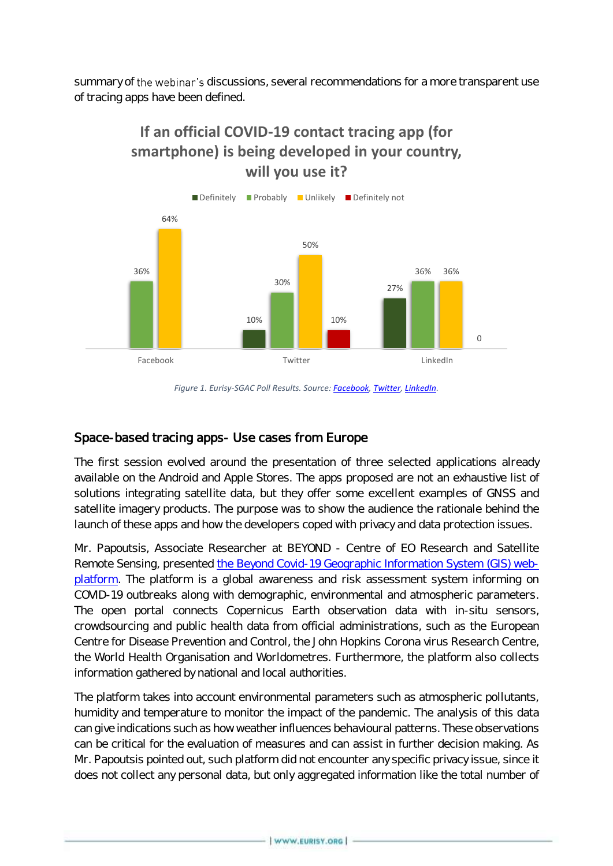summary of the webinar's discussions, several recommendations for a more transparent use of tracing apps have been defined.

## **If an official COVID-19 contact tracing app (for smartphone) is being developed in your country, will you use it?**



*Figure 1. Eurisy-SGAC Poll Results. Source: [Facebook,](https://www.facebook.com/spacegeneration/posts/3610919098924608) [Twitter,](https://twitter.com/SGAC/status/1268182487907405827) [LinkedIn.](https://www.linkedin.com/feed/update/urn:li:activity:6674338604216655872)*

## Space-based tracing apps- Use cases from Europe

The first session evolved around the presentation of three selected applications already available on the Android and Apple Stores. The apps proposed are not an exhaustive list of solutions integrating satellite data, but they offer some excellent examples of GNSS and satellite imagery products. The purpose was to show the audience the rationale behind the launch of these apps and how the developers coped with privacy and data protection issues.

Mr. Papoutsis, Associate Researcher at BEYOND - Centre of EO Research and Satellite Remote Sensing, presented [the Beyond Covid-19 Geographic Information System](http://webgiscovid19.beyond-eocenter.eu/) (GIS) web[platform.](http://webgiscovid19.beyond-eocenter.eu/) The platform is a global awareness and risk assessment system informing on COVID-19 outbreaks along with demographic, environmental and atmospheric parameters. The open portal connects Copernicus Earth observation data with in-situ sensors, crowdsourcing and public health data from official administrations, such as the European Centre for Disease Prevention and Control, the John Hopkins Corona virus Research Centre, the World Health Organisation and Worldometres. Furthermore, the platform also collects information gathered by national and local authorities.

The platform takes into account environmental parameters such as atmospheric pollutants, humidity and temperature to monitor the impact of the pandemic. The analysis of this data can give indications such as how weather influences behavioural patterns. These observations can be critical for the evaluation of measures and can assist in further decision making. As Mr. Papoutsis pointed out, such platform did not encounter any specific privacy issue, since it does not collect any personal data, but only aggregated information like the total number of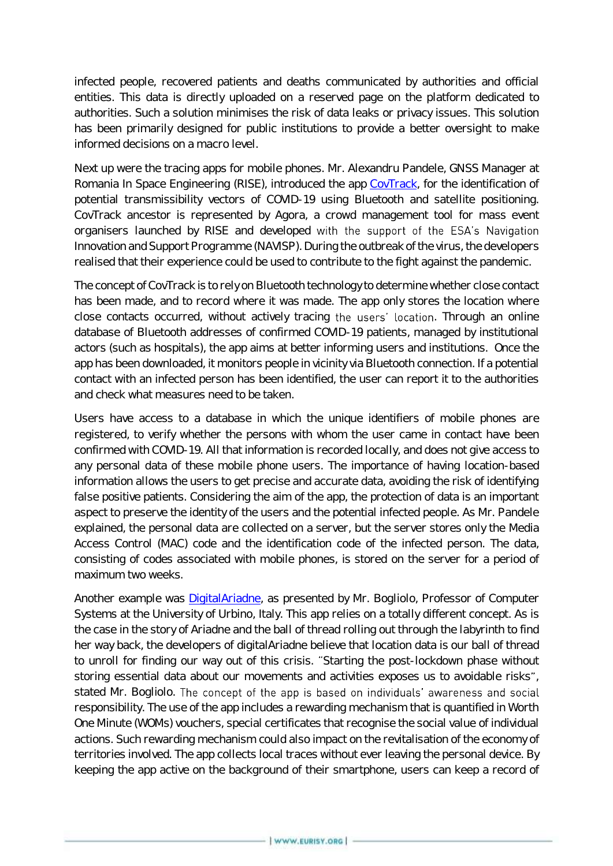infected people, recovered patients and deaths communicated by authorities and official entities. This data is directly uploaded on a reserved page on the platform dedicated to authorities. Such a solution minimises the risk of data leaks or privacy issues. This solution has been primarily designed for public institutions to provide a better oversight to make informed decisions on a macro level.

Next up were the tracing apps for mobile phones. Mr. Alexandru Pandele, GNSS Manager at Romania In Space Engineering (RISE), introduced the app [CovTrack,](https://roinspace.com/covid-19/covtrack/) for the identification of potential transmissibility vectors of COVID-19 using Bluetooth and satellite positioning. CovTrack ancestor is represented by Agora, a crowd management tool for mass event organisers launched by RISE and developed with the support of the ESA's Navigation Innovation and Support Programme (NAVISP). During the outbreak of the virus, the developers realised that their experience could be used to contribute to the fight against the pandemic.

The concept of CovTrack is to rely on Bluetooth technology to determine whether close contact has been made, and to record where it was made. The app only stores the location where close contacts occurred, without actively tracing the users' location. Through an online database of Bluetooth addresses of confirmed COVID-19 patients, managed by institutional actors (such as hospitals), the app aims at better informing users and institutions. Once the app has been downloaded, it monitors people in vicinity via Bluetooth connection. If a potential contact with an infected person has been identified, the user can report it to the authorities and check what measures need to be taken.

Users have access to a database in which the unique identifiers of mobile phones are registered, to verify whether the persons with whom the user came in contact have been confirmed with COVID-19. All that information is recorded locally, and does not give access to any personal data of these mobile phone users. The importance of having location-based information allows the users to get precise and accurate data, avoiding the risk of identifying false positive patients. Considering the aim of the app, the protection of data is an important aspect to preserve the identity of the users and the potential infected people. As Mr. Pandele explained, the personal data are collected on a server, but the server stores only the Media Access Control (MAC) code and the identification code of the infected person. The data, consisting of codes associated with mobile phones, is stored on the server for a period of maximum two weeks.

Another example was [DigitalAriadne,](https://covid19app.uniurb.it/en/diary-lets-stop-covid-19-together/) as presented by Mr. Bogliolo, Professor of Computer Systems at the University of Urbino, Italy. This app relies on a totally different concept. As is the case in the story of Ariadne and the ball of thread rolling out through the labyrinth to find her way back, the developers of digitalAriadne believe that location data is our ball of thread to unroll for finding our way out of this crisis. "Starting the post-lockdown phase without storing essential data about our movements and activities exposes us to avoidable risks", stated Mr. Bogliolo. The concept of the app is based on individuals' awareness and social responsibility. The use of the app includes a rewarding mechanism that is quantified in Worth One Minute (WOMs) vouchers, special certificates that recognise the social value of individual actions. Such rewarding mechanism could also impact on the revitalisation of the economy of territories involved. The app collects local traces without ever leaving the personal device. By keeping the app active on the background of their smartphone, users can keep a record of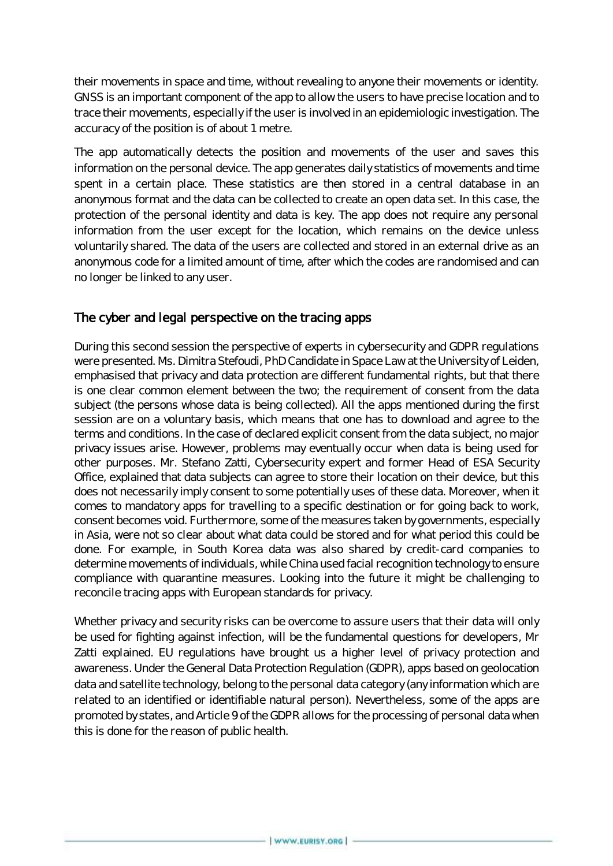their movements in space and time, without revealing to anyone their movements or identity. GNSS is an important component of the app to allow the users to have precise location and to trace their movements, especially if the user is involved in an epidemiologic investigation. The accuracy of the position is of about 1 metre.

The app automatically detects the position and movements of the user and saves this information on the personal device. The app generates daily statistics of movements and time spent in a certain place. These statistics are then stored in a central database in an anonymous format and the data can be collected to create an open data set. In this case, the protection of the personal identity and data is key. The app does not require any personal information from the user except for the location, which remains on the device unless voluntarily shared. The data of the users are collected and stored in an external drive as an anonymous code for a limited amount of time, after which the codes are randomised and can no longer be linked to any user.

## The cyber and legal perspective on the tracing apps

During this second session the perspective of experts in cybersecurity and GDPR regulations were presented. Ms. Dimitra Stefoudi, PhD Candidate in Space Law at the University of Leiden, emphasised that privacy and data protection are different fundamental rights, but that there is one clear common element between the two; the requirement of consent from the data subject (the persons whose data is being collected). All the apps mentioned during the first session are on a voluntary basis, which means that one has to download and agree to the terms and conditions. In the case of declared explicit consent from the data subject, no major privacy issues arise. However, problems may eventually occur when data is being used for other purposes. Mr. Stefano Zatti, Cybersecurity expert and former Head of ESA Security Office, explained that data subjects can agree to store their location on their device, but this does not necessarily imply consent to some potentially uses of these data. Moreover, when it comes to mandatory apps for travelling to a specific destination or for going back to work, consent becomes void. Furthermore, some of the measures taken by governments, especially in Asia, were not so clear about what data could be stored and for what period this could be done. For example, in South Korea data was also shared by credit-card companies to determine movements of individuals, while China used facial recognition technology to ensure compliance with quarantine measures. Looking into the future it might be challenging to reconcile tracing apps with European standards for privacy.

Whether privacy and security risks can be overcome to assure users that their data will only be used for fighting against infection, will be the fundamental questions for developers, Mr Zatti explained. EU regulations have brought us a higher level of privacy protection and awareness. Under the General Data Protection Regulation (GDPR), apps based on geolocation data and satellite technology, belong to the personal data category (any information which are related to an identified or identifiable natural person). Nevertheless, some of the apps are promoted by states, and Article 9 of the GDPR allows for the processing of personal data when this is done for the reason of public health.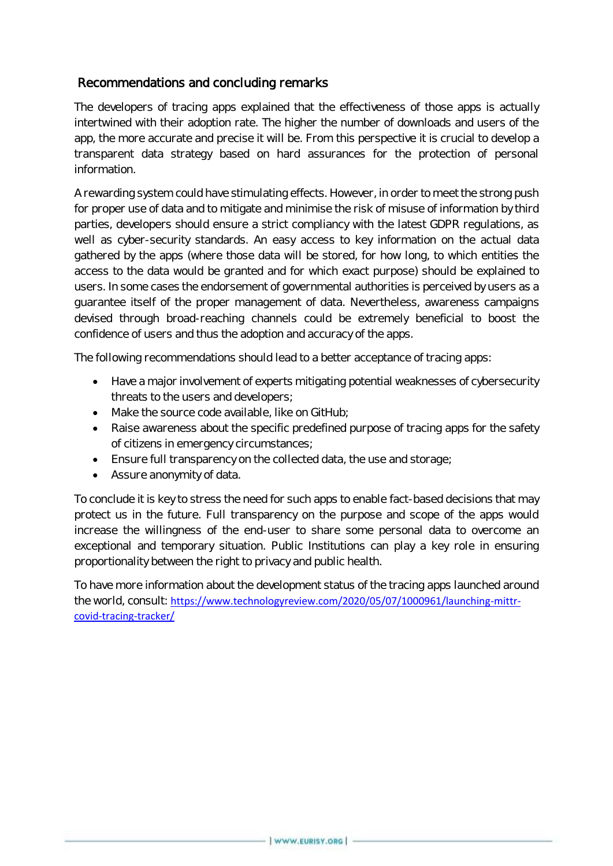## Recommendations and concluding remarks

The developers of tracing apps explained that the effectiveness of those apps is actually intertwined with their adoption rate. The higher the number of downloads and users of the app, the more accurate and precise it will be. From this perspective it is crucial to develop a transparent data strategy based on hard assurances for the protection of personal information.

A rewarding system could have stimulating effects. However, in order to meet the strong push for proper use of data and to mitigate and minimise the risk of misuse of information by third parties, developers should ensure a strict compliancy with the latest GDPR regulations, as well as cyber-security standards. An easy access to key information on the actual data gathered by the apps (where those data will be stored, for how long, to which entities the access to the data would be granted and for which exact purpose) should be explained to users. In some cases the endorsement of governmental authorities is perceived by users as a guarantee itself of the proper management of data. Nevertheless, awareness campaigns devised through broad-reaching channels could be extremely beneficial to boost the confidence of users and thus the adoption and accuracy of the apps.

The following recommendations should lead to a better acceptance of tracing apps:

- Have a major involvement of experts mitigating potential weaknesses of cybersecurity threats to the users and developers;
- Make the source code available, like on GitHub;
- Raise awareness about the specific predefined purpose of tracing apps for the safety of citizens in emergency circumstances;
- Ensure full transparency on the collected data, the use and storage;
- Assure anonymity of data.

To conclude it is key to stress the need for such apps to enable fact-based decisions that may protect us in the future. Full transparency on the purpose and scope of the apps would increase the willingness of the end-user to share some personal data to overcome an exceptional and temporary situation. Public Institutions can play a key role in ensuring proportionality between the right to privacy and public health.

To have more information about the development status of the tracing apps launched around the world, consult: [https://www.technologyreview.com/2020/05/07/1000961/launching-mittr](https://www.technologyreview.com/2020/05/07/1000961/launching-mittr-covid-tracing-tracker/)[covid-tracing-tracker/](https://www.technologyreview.com/2020/05/07/1000961/launching-mittr-covid-tracing-tracker/)